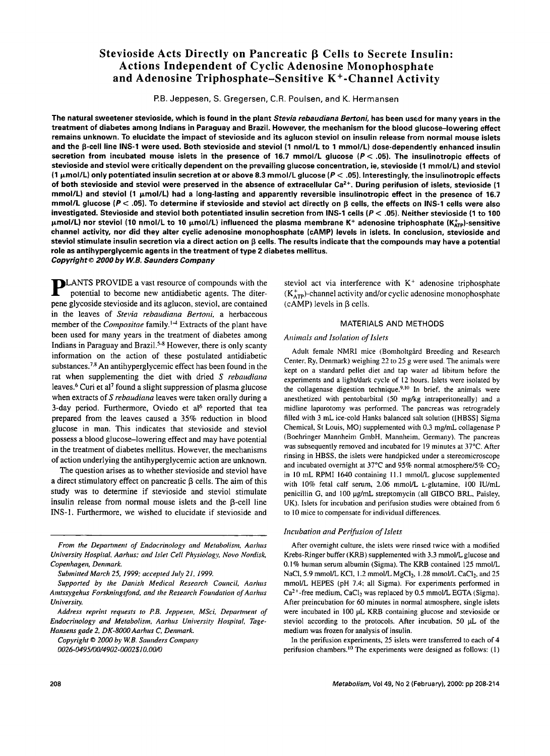# **Stevioside Acts Directly on Pancreatic β Cells to Secrete Insulin: Actions Independent of Cyclic Adenosine Monophosphate and Adenosine Triphosphate-Sensitive K+-Channel Activity**

P.B. Jeppesen, S. Gregersen, C.R. Poulsen, and K. Hermansen

**The natural sweetener stevioside, which is found in** the plant *Stevia rebaudiana Bertoni,* **has been used for many years in** the **treatment of diabetes among Indians in Paraguay and Brazil. However, the mechanism for the blood glucose-lowering effect remains unknown. To elucidate the impact of stevioside and its aglucon steviol on insulin release from normal mouse islets**  and the **B-cell line INS-1 were used. Both stevioside** and steviol (1 nmol/L to 1 mmol/L) dose-dependently enhanced insulin secretion from incubated mouse islets in the presence of 16.7 mmol/L glucose  $(P < .05)$ . The insulinotropic effects of **stevioside and steviol were critically dependent on the prevailing glucose concentration, ie, stevioside (1 mmol/L) and steviol (1 i~mol/L) only potentiated insulin secretion at or above 8.3 mmol/L glucose (P < .05). Interestingly, the insulinotropic effects**  of both stevioside and steviol were preserved in the absence of extracellular Ca<sup>2+</sup>. During perifusion of islets, stevioside (1 **mmol/L) and steviol (1 p.mol/L) had a long-lasting and apparently reversible insulinotropic effect in the presence of 16.7 mmol/L glucose (P < .05). To determine if stevioside and steviol act directly on 13 cells, the effects on INS-1 cells were also investigated. Stevioside and steviol both potentiated insulin secretion from INS-1 cells (P < .05). Neither stevioside (1 to 100**   $μ$ mol/L) nor steviol (10 nmol/L to 10 μmol/L) influenced the plasma membrane K<sup>+</sup> adenosine triphosphate (K<sub>arp</sub>)-sensitive **channel activity, nor did they alter cyclic adenosine monophosphate (cAMP) levels in islets. In conclusion, stevioside and steviol stimulate insulin secretion via a direct action on 13 cells. The results indicate that the compounds may have a potential role as antihyperglycemic agents in the treatment of type 2 diabetes mellitus.**  *Copyright © 2000 by W.B. Saunders Company* 

**p LANTS PROVIDE a vast resource of compounds with the** potential to become new antidiabetic agents. The diterpene glycoside stevioside and its aglucon, steviol, are contained in the leaves of *Stevia rebaudiana Bertoni,* a herbaceous member of the *Compositae* family.<sup>1-4</sup> Extracts of the plant have been used for many years in the treatment of diabetes among Indians in Paraguay and Brazil.<sup>5-8</sup> However, there is only scanty information on the action of these postulated antidiabetic substances.<sup>7,8</sup> An antihyperglycemic effect has been found in the rat when supplementing the diet with dried *S rebaudiana*  leaves.<sup>6</sup> Curi et al<sup>7</sup> found a slight suppression of plasma glucose when extracts of *S rebaudiana* leaves were taken orally during a 3-day period. Furthermore, Oviedo et al<sup>6</sup> reported that tea prepared from the leaves caused a 35% reduction in blood glucose in man. This indicates that stevioside and steviol possess a blood glucose-lowering effect and may have potential in the treatment of diabetes mellitus. However, the mechanisms of action underlying the antihyperglycemic action are unknown.

The question arises as to whether stevioside and steviol have a direct stimulatory effect on pancreatic  $\beta$  cells. The aim of this study was to determine if stevioside and steviol stimulate insulin release from normal mouse islets and the B-cell line INS-1. Furthermore, we wished to elucidate if stevioside and

*From the Department of Endocrinology and Metabolism, Aarhus University Hospital, Aarhas: and Islet Cell Physiology Novo Nordisk, Copenhagen, Demnark.* 

*Submitted March 25, 1999; accepted July 21, 1999.* 

*Supported by the Danish Medical Research Council, Aarhus Amtssygehus Forskningsfond, and the Research Foundation of Aarhus University.* 

*Address reprint requests to P.B. Jeppesen, MSci, Department of Endocrinology and Metabolism, Aarhus University Hospital, Tage-Hansens gade 2, DK-8OOO Aarhus C, Denmark.* 

*Copyright © 2000 by W.B. Saunders Company 0026-0495/00/4902-0002510.00/0* 

steviol act via interference with  $K<sup>+</sup>$  adenosine triphosphate  $(K<sub>ATP</sub>)$ -channel activity and/or cyclic adenosine monophosphate  $(cAMP)$  levels in  $\beta$  cells.

### MATERIALS AND METHODS

### *Animals and Isolation of lslets*

Adult female NMRI mice (Bomholtgård Breeding and Research Center, Ry, Denmark) weighing 22 to 25 g were used. The animals were kept on a standard pellet diet and tap water ad libitum before the experiments and a light/dark cycle of 12 hours. Islets were isolated by the collagenase digestion technique.<sup>9,10</sup> In brief, the animals were anesthetized with pentobarbital (50 mg/kg intraperitoneally) and a midline laparotomy was performed. The pancreas was retrogradely filled with 3 mL ice-cold Hanks balanced salt solution ([HBSS] Sigma Chemical, St Louis, MO) supplemented with 0.3 mg/mL collagenase P (Boehringer Mannheim GmbH, Mannheim. Germany). The pancreas was subsequently removed and incubated for 19 minutes at 37°C. After rinsing in HBSS, the islets were handpicked under a stereomicroscope and incubated overnight at 37°C and 95% normal atmosphere/5%  $CO<sub>2</sub>$ in 10 mL RPMI 1640 containing 11.1 mmol/L glucose supplemented with 10% fetal calf serum, 2.06 mmol/L L-glutamine, 100 IU/mL penicillin G, and 100 µg/mL streptomycin (all GIBCO BRL, Paisley, UK). Islets for incubation and perifusion studies were obtained from 6 to 10 mice to compensate for individual differences.

### *Incubation and Perifusion of Islets*

After overnight culture, the islets were rinsed twice with a modified Krebs-Ringer buffer (KRB) supplemented with 3.3 mmol/L glucose and 0.1% human serum albumin (Sigma). The KRB contained 125 mmol/L NaCl, 5.9 mmol/L KCl, 1.2 mmol/L  $MgCl<sub>2</sub>$ , 1.28 mmol/L  $CaCl<sub>2</sub>$ , and 25 mmol/L HEPES (pH 7.4; all Sigma). For experiments performed in  $Ca<sup>2+</sup>$ -free medium, CaCl<sub>2</sub> was replaced by 0.5 mmol/L EGTA (Sigma). After preincubation for 60 minutes in normal atmosphere, single islets were incubated in 100  $\mu$ L KRB containing glucose and stevioside or steviol according to the protocols. After incubation, 50  $\mu$ L of the medium was frozen for analysis of insulin.

In the perifusion experiments, 25 islets were transferred to each of 4 perifusion chambers.<sup>10</sup> The experiments were designed as follows: (1)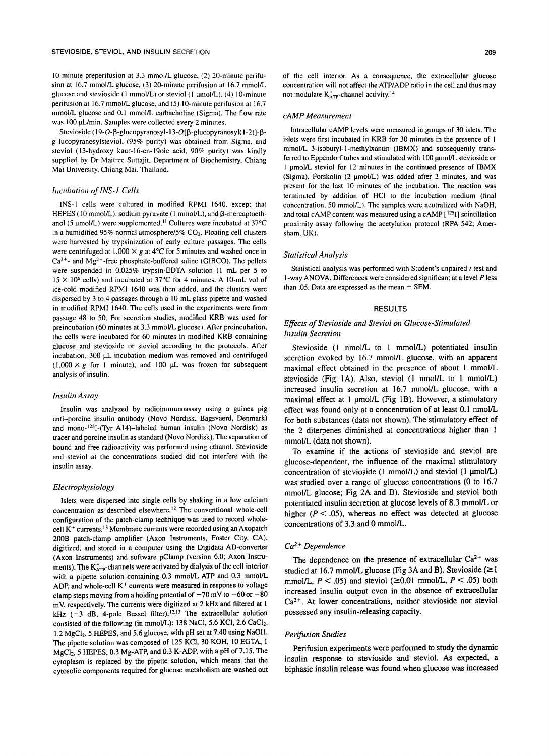10-minute preperifusion at 3.3 mmol/L glucose, (2) 20-minute perifusion at 16.7 mmol/L glucose, (3) 20-minute perifusion at 16.7 mmol/L glucose and stevioside (1 mmol/L) or steviol (1  $\mu$ mol/L), (4) 10-minute perifusion at 16.7 mmol/L glucose, and (5) 10-minute perifusion at 16.7 mmol/L glucose and 0.1 mmol/L carbacholine (Sigma). The flow rate was 100 pL/min. Samples were collected every 2 minutes.

Stevioside (19-O- $\beta$ -glucopyranosyl-13-O[ $\beta$ -glucopyranosyl(1-2)]- $\beta$ g lucopyranosylsteviol, (95% purity) was obtained from Sigma, and steviol (13-hydroxy kaur-16-en-19oic acid, 90% purity) was kindly supplied by Dr Maitree Suttajit. Department of Biochemistry, Chiang Mai University, Chiang Mai. Thailand.

### *Incubation of INS- I Cells*

INS-I cells were cultured in modified RPMI 1640, except that HEPES (10 mmol/L), sodium pyruvate (1 mmol/L), and  $\beta$ -mercaptoethanol (5  $\mu$ mol/L) were supplemented.<sup>11</sup> Cultures were incubated at 37°C in a humidified 95% normal atmosphere/5%  $CO<sub>2</sub>$ . Floating cell clusters were harvested by trypsinization of early culture passages. The cells were centrifuged at  $1,000 \times g$  at 4°C for 5 minutes and washed once in  $Ca<sup>2+</sup>$ - and Mg<sup>2+</sup>-free phosphate-buffered saline (GIBCO). The pellets were suspended in 0.025% trypsin-EDTA solution (1 mL per 5 to  $15 \times 10^6$  cells) and incubated at 37°C for 4 minutes. A 10-mL vol of ice-cold modified RPMI 1640 was then added, and the clusters were dispersed by 3 to 4 passages through a 10-mL glass pipette and washed in modified RPMI 1640. The cells used in the experiments were from passage 48 to 50. For secretion studies, modified KRB was used for preincubation (60 minutes at 3.3 mmol/L glucose). After preincubation, the cells were incubated for 60 minutes in modified KRB containing glucose and stevioside or steviol according to the protocols. After incubation, 300 pL incubation medium was removed and centrifuged  $(1,000 \times g$  for 1 minute), and 100 µL was frozen for subsequent analysis of insulin.

### *hsulin Assay*

Insulin was analyzed by radioimmunoassay using a guinea pig anti-porcine insulin antibody (Novo Nordisk, Bagsvaerd, Denmark) and mono-<sup>125</sup>I-(Tyr A14)-labeled human insulin (Novo Nordisk) as tracer and porcine insulin as standard (Novo Nordisk). The separation of bound and free radioactivity was performed using ethanol. Stevioside and steviol at the concentrations studied did not interfere with the insulin assay.

# *Electrophysiology*

Islets were dispersed into single cells by shaking in a low calcium concentration as described elsewhere.<sup>12</sup> The conventional whole-cell configuration of the patch-clamp technique was used to record wholecell  $K<sup>+</sup>$  currents.<sup>13</sup> Membrane currents were recorded using an Axopatch 200B patch-clamp amplifier (Axon Instruments, Foster City, CA), digitized, and stored in a computer using the Digidata AD-converter (Axon Instruments) and software pClamp (version 6.0; Axon Instruments). The  $K_{ATP}^+$ -channels were activated by dialysis of the cell interior with a pipette solution containing 0.3 mmol/L ATP and 0.3 mmol/L ADP, and whole-cell  $K<sup>+</sup>$  currents were measured in response to voltage clamp steps moving from a holding potential of  $-70$  mV to  $-60$  or  $-80$ mV, respectively. The currents were digitized at 2 kHz and filtered at 1 kHz  $(-3$  dB, 4-pole Bessel filter).<sup>12,13</sup> The extracellular solution consisted of the following (in mmol/L): 138 NaCl, 5.6 KCl, 2.6 CaCl<sub>2</sub>, 1.2 MgCl<sub>2</sub>, 5 HEPES, and 5.6 glucose, with pH set at 7.40 using NaOH. The pipette solution was composed of 125 KCI, 30 KOH, 10 EGTA, I MgC12, 5 HEPES, 0.3 Mg-ATP, and 0.3 K-ADP, with a pH of 7.15. The cytoplasm is replaced by the pipette solution, which means that the cytosolic components required for glucose metabolism are washed out of the cell interior. As a consequence, the extracellular glucose concentration will not affect the ATP/ADP ratio in the cell and thus may not modulate  $K_{ATP}^*$ -channel activity.<sup>14</sup>

### *cAMP Measurement*

Intracellular cAMP levels were measured in groups of 30 islets. The islets were first incubated in KRB for 30 minutes in the presence of I mmol/L 3-isobutyl-1-methylxantin (IBMX) and subsequently transferred to Eppendorf tubes and stimulated with 100 µmol/L stevioside or 1 umol/L steviol for 12 minutes in the continued presence of IBMX (Sigma). Forskolin (2 µmol/L) was added after 2 minutes, and was present for the last 10 minutes of the incubation. The reaction was terminated by addition of HCI to the incubation medium (final concentration, 50 mmol/L). The samples were neutralized with NaOH, and total cAMP content was measured using a cAMP  $[$ <sup>125</sup>I] scintillation proximity assay following the acetylation protocol (RPA 542; Amersham, UK).

### *Statistical Analysis*

Statistical analysis was performed with Student's unpaired t test and **<sup>I</sup>**-way ANOVA. Differences were considered significant at a level P less than .05. Data are expressed as the mean  $\pm$  SEM.

### RESULTS

### *Effects of Stevioside and Steviol on Glucose-Stimulated hzsulin Secretion*

Stevioside (1 nmol/L to 1 mmol/L) potentiated insulin secretion evoked by 16.7 mmol/L glucose, with an apparent maximal effect obtained in the presence of about 1 mmol/L stevioside (Fig IA). Also, steviol (1 nmol/L to 1 mmol/L) increased insulin secretion at 16.7 mmol/L glucose, with a maximal effect at 1 µmol/L (Fig 1B). However, a stimulatory effect was found only at a concentration of at least 0.1 nmol/L for both substances (data not shown). The stimulatory effect of the 2 diterpenes diminished at concentrations higher than 1 mmol/L (data not shown).

To examine if the actions of stevioside and steviol are glucose-dependent, the influence of the maximal stimulatory concentration of stevioside (1 mmol/L) and steviol (1 µmol/L) was studied over a range of glucose concentrations (0 to 16.7 mmol/L glucose; Fig 2A and B). Stevioside and steviol both potentiated insulin secretion at glucose levels of 8.3 mmol/L or higher  $(P < .05)$ , whereas no effect was detected at glucose concentrations of 3.3 and 0 mmol/L.

### *Ca 2+ Dependence*

The dependence on the presence of extracellular  $Ca^{2+}$  was studied at 16.7 mmol/L glucose (Fig 3A and B). Stevioside  $(\geq 1)$ mmol/L,  $P < .05$ ) and steviol ( $\geq 0.01$  mmol/L,  $P < .05$ ) both increased insulin output even in the absence of extracellular Ca<sup>2+</sup>. At lower concentrations, neither stevioside nor steviol possessed any insulin-releasing capacity.

### *Perifusion Studies*

Perifusion experiments were performed to study the dynamic insulin response to stevioside and steviol. As expected, a biphasic insulin release was found when glucose was increased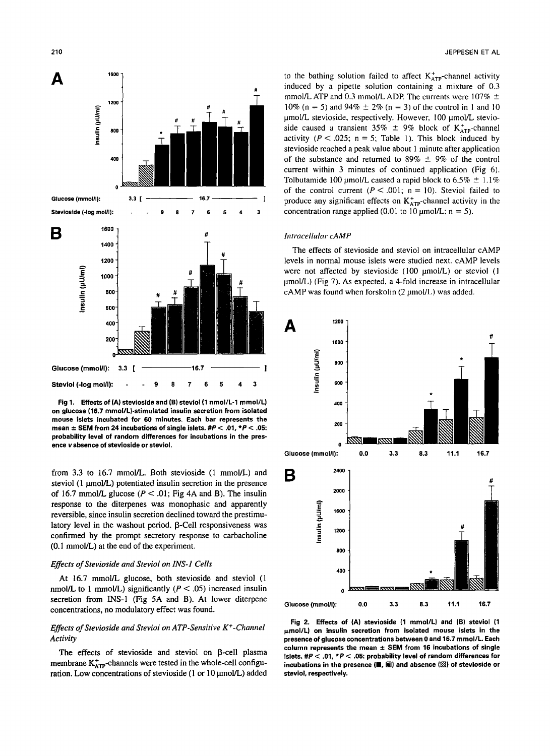

**Fig 1. Effects of (A) stevioside and (B) steviol (1 nmol/L-1 mmol/L) on glucose (16.7 mmol/L)-stimulated insulin secretion from isolated mouse islets incubated for 60 minutes. Each bar represents the mean ± SEM from 24 incubations of single islets. #P < .01, \*P < .05: probability level of random differences for incubations in the presence v absence of stevioside or steviol.** 

from 3.3 to 16.7 mmol/L. Both stevioside (1 mmol/L) and steviol  $(1 \mu \text{mol/L})$  potentiated insulin secretion in the presence of 16.7 mmol/L glucose ( $P < .01$ ; Fig 4A and B). The insulin response to the diterpenes was monophasic and apparently reversible, since insulin secretion declined toward the prestimulatory level in the washout period. β-Cell responsiveness was confirmed by the prompt secretory response to carbacholine (0.1 mmol/L) at the end of the experiment.

#### *Effects of Stevioside and Steviol on INS-1 Cells*

At 16.7 mmol/L glucose, both stevioside and steviol (1 nmol/L to 1 mmol/L) significantly ( $P < .05$ ) increased insulin secretion from INS-1 (Fig 5A and B). At lower diterpene concentrations, no modulatory effect was found.

## *Effects of Stevioside and Steviol on ATP-Sensitive K÷-Channel Activity*

The effects of stevioside and steviol on  $\beta$ -cell plasma membrane  $K_{ATP}^+$ -channels were tested in the whole-cell configuration. Low concentrations of stevioside (1 or 10 µmol/L) added to the bathing solution failed to affect  $K_{ATP}^+$ -channel activity induced by a pipette solution containing a mixture of 0.3 mmol/L ATP and 0.3 mmol/L ADP. The currents were 107%  $\pm$ 10% (n = 5) and 94%  $\pm$  2% (n = 3) of the control in 1 and 10 umol/L stevioside, respectively. However, 100 umol/L stevioside caused a transient 35%  $\pm$  9% block of K<sub>ATP</sub>-channel activity ( $P < .025$ ; n = 5; Table 1). This block induced by stevioside reached a peak value about 1 minute after application of the substance and returned to 89%  $\pm$  9% of the control current within 3 minutes of continued application (Fig 6). Tolbutamide 100 µmol/L caused a rapid block to 6.5%  $\pm$  1.1% of the control current ( $P < .001$ ; n = 10). Steviol failed to produce any significant effects on  $K_{ATp}^+$ -channel activity in the concentration range applied (0.01 to 10  $\mu$ mol/L: n = 5).

# *hltracellu/ar cAMP*

The effects of stevioside and steviol on intracellular cAMP levels in normal mouse islets were studied next. cAMP levels were not affected by stevioside (100 µmol/L) or steviol (1  $\mu$ mol/L) (Fig 7). As expected, a 4-fold increase in intracellular  $c$ AMP was found when forskolin (2  $\mu$ mol/L) was added.



**Fig 2. Effects of (A) stevioside (1 mmol/L) and (B) steviol (1**   $\mu$ mol/L) on insulin secretion from isolated mouse islets in the **presence of glucose concentrations between 0 and 16.7 mmol/L. Each column represents the mean ± SEM from 16 incubations of single islets. #P < .01, \*P < .05: probability level of random differences for**  incubations in the presence (■, 圖) and absence (**S**) of stevioside or **steviol, respectively.**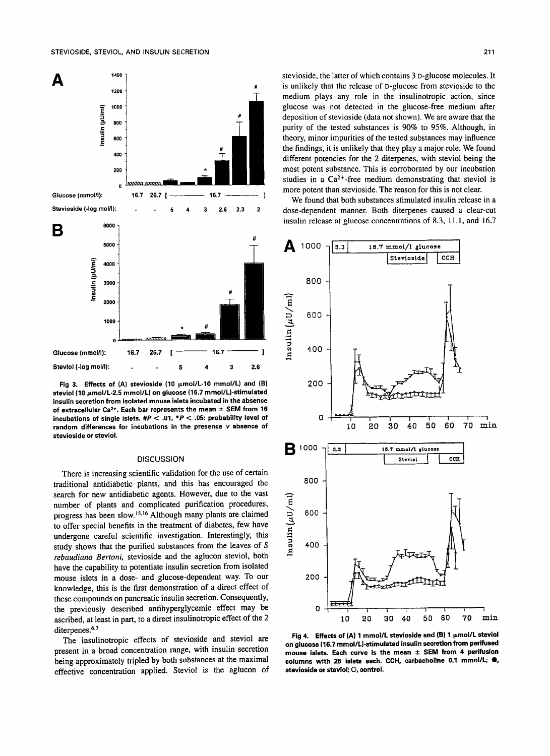

Fig 3. Effects of (A) stevioside (10  $\mu$ mol/L-10 mmol/L) and (B) steviol (10 μmol/L-2.5 mmol/L) on glucose (16.7 mmol/L)-stimulated **insulin secretion from isolated mouse islets incubated in the absence**  of extracellular Ca<sup>2+</sup>. Each bar represents the mean  $\pm$  SEM from 16 **incubations of single islets. #P < .01, \*P < .05: probability level of random differences for incubations in the presence v absence of stevioside or steviol.** 

### **DISCUSSION**

There is increasing scientific validation for the use of certain traditional antidiabetic plants, and this has encouraged the search for new antidiabetic agents. However, due to the vast number of plants and complicated purification procedures, progress has been slow.<sup>15,16</sup> Although many plants are claimed to offer special benefits in the treatment of diabetes, few have undergone careful scientific investigation. Interestingly, this study shows that the purified substances from the leaves of S *rebaudiana Bertoni,* stevioside and the aglucon steviol, both have the capability to potentiate insulin secretion from isolated mouse islets in a dose- and glucose-dependent way. To our knowledge, this is the first demonstration of a direct effect of these compounds on pancreatic insulin secretion. Consequently, the previously described antihyperglycemic effect may be ascribed, at least in part, to a direct insulinotropic effect of the 2 diterpenes.<sup>6,7</sup>

The insulinotropic effects of stevioside and steviol are present in a broad concentration range, with insulin secretion being approximately tripled by both substances at the maximal effective concentration applied. Steviol is the aglucon of stevioside, the latter of which contains 3 D-glucose molecules. It is unlikely that the release of D-glucose from stevioside to the medium plays any role in the insulinotropic action, since glucose was not detected in the glucose-free medium after deposition of stevioside (data not shown). We are aware that the purity of the tested substances is 90% to 95%. Although, in theory, minor impurities of the tested substances may influence the findings, it is unlikely that they play a major role. We found different potencies for the 2 diterpenes, with steviol being the most potent substance. This is corroborated by our incubation studies in a  $Ca^{2+}$ -free medium demonstrating that steviol is more potent than stevioside. The reason for this is not clear.

We found that both substances stimulated insulin release in a dose-dependent manner. Both diterpenes caused a clear-cut insulin release at glucose concentrations of 8.3, 11.1, and 16.7



Fig 4. Effects of (A) 1 mmol/L stevioside and (B) 1  $\mu$ mol/L steviol **on glucose (16.7 mmol/L)-stimulated insulin secretion from perifused**  mouse islets. Each curve is the mean  $\pm$  SEM from 4 perifusion **columns with 25 islets each. CCH, carbacholine 0.1 mmol/L; O, stevioside or steviol; O, control.**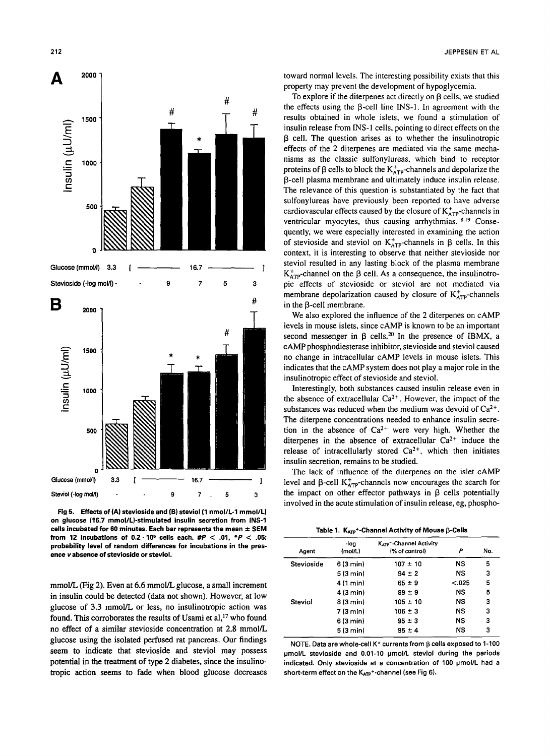



**Fig 5. Effects of (A) stevioside and (B) steviol (1 nmol/L-1 mmol/L) on glucose (16.7 mmol/L)-stimulated insulin secretion from INS-1**  cells incubated for 60 minutes. Each bar represents the mean  $\pm$  SEM **from 12 incubations of 0.2.106 cells each. #P < .01, \*P < .05: probability level of random differences for incubations in the presence v absence of stevioside or steviol.** 

mmol/L (Fig 2). Even at 6.6 mmol/L glucose, a small increment in insulin could be detected (data not shown). However, at low glucose of 3.3 mmol/L or less, no insulinotropic action was found. This corroborates the results of Usami et al, $^{17}$  who found no effect of a similar stevioside concentration at 2.8 mmol/L glucose using the isolated perfused rat pancreas. Our findings seem to indicate that stevioside and steviol may possess potential in the treatment of type 2 diabetes, since the insulinotropic action seems to fade when blood glucose decreases

toward normal levels. The interesting possibility exists that this property may prevent the development of hypoglycemia.

To explore if the diterpenes act directly on  $\beta$  cells, we studied the effects using the  $\beta$ -cell line INS-1. In agreement with the results obtained in whole islets, we found a stimulation of insulin release from INS-1 cells, pointing to direct effects on the  $\beta$  cell. The question arises as to whether the insulinotropic effects of the 2 diterpenes are mediated via the same mechanisms as the classic sulfonylureas, which bind to receptor proteins of  $\beta$  cells to block the  $K_{ATP}^+$ -channels and depolarize the 13-cell plasma membrane and ultimately induce insulin release. The relevance of this question is substantiated by the fact that sulfonylureas have previously been reported to have adverse cardiovascular effects caused by the closure of  $K_{\text{app}}^+$ -channels in ventricular myocytes, thus causing arrhythmias.<sup>18,19</sup> Consequently, we were especially interested in examining the action of stevioside and steviol on  $K_{ATP}^+$ -channels in  $\beta$  cells. In this context, it is interesting to observe that neither stevioside nor steviol resulted in any lasting block of the plasma membrane  $K_{ATP}^+$ -channel on the  $\beta$  cell. As a consequence, the insulinotropic effects of stevioside or steviol are not mediated via membrane depolarization caused by closure of  $K_{ATP}^+$ -channels in the  $\beta$ -cell membrane.

We also explored the influence of the 2 diterpenes on cAMP levels in mouse islets, since cAMP is known to be an important second messenger in  $\beta$  cells.<sup>20</sup> In the presence of IBMX, a cAMP phosphodiesterase inhibitor, stevioside and steviol caused no change in intracellular cAMP levels in mouse islets. This indicates that the cAMP system does not play a major role in the insulinotropic effect of stevioside and steviol.

Interestingly, both substances caused insulin release even in the absence of extracellular  $Ca^{2+}$ . However, the impact of the substances was reduced when the medium was devoid of  $Ca^{2+}$ . The diterpene concentrations needed to enhance insulin secretion in the absence of  $Ca^{2+}$  were very high. Whether the diterpenes in the absence of extracellular  $Ca^{2+}$  induce the release of intracellularly stored  $Ca<sup>2+</sup>$ , which then initiates insulin secretion, remains to be studied.

The lack of influence of the diterpenes on the islet cAMP level and  $\beta$ -cell K $_{ATP}^+$ -channels now encourages the search for the impact on other effector pathways in  $\beta$  cells potentially involved in the acute stimulation of insulin release, eg, phospho-

Table 1. K<sub>ATP</sub><sup>+</sup>-Channel Activity of Mouse **B-Cells** 

| Agent      | -log<br>(mol/L) | К <sub>атр</sub> <sup>+</sup> -Channel Activity<br>(% of control) | Ρ         | No. |
|------------|-----------------|-------------------------------------------------------------------|-----------|-----|
| Stevioside | 6(3 min)        | $107 \pm 10$                                                      | ΝS        | 5   |
|            | 5(3 min)        | $94 \pm 2$                                                        | NS        | з   |
|            | 4 (1 min)       | $65 = 9$                                                          | < 0.025   | 5   |
|            | 4(3 min)        | $89 \pm 9$                                                        | NS        | 5   |
| Steviol    | 8(3 min)        | $105 \pm 10$                                                      | NS        | з   |
|            | 7(3 min)        | $106 = 3$                                                         | ΝS        | 3   |
|            | 6 (3 min)       | $95 \pm 3$                                                        | <b>NS</b> | 3   |
|            | 5(3 min)        | $95 \pm 4$                                                        | NS        | з   |

NOTE. Data are whole-cell K<sup>+</sup> currents from  $\beta$  cells exposed to 1-100 umol/L stevioside and 0.01-10 umol/L steviol during the periods indicated. Only stevioside at a concentration of 100 pmol/L had a short-term effect on the KATP<sup>+</sup>-channel (see Fig 6).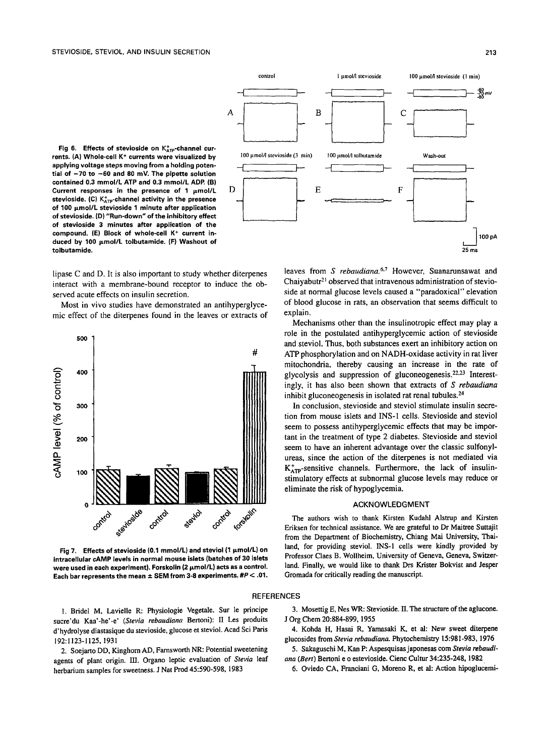Fig 6. Effects of stevioside on K<sub>ATP</sub>-channel currents. (A) Whole-cell K<sup>+</sup> currents were visualized by **applying voltage steps moving from a holding potential of -70 to -60 and 80 mV. The pipette solution contained 0.3 mmol/L ATP and 0.3 mmol/L ADR (B)**  Current responses in the presence of 1  $\mu$ mol/L stevioside. (C) K<sup>+</sup><sub>ATP</sub>-channel activity in the presence **of 100 ixmol/L stevioside 1 minute after application of stevioside. (D) "Run-down" of the inhibitory effect of stevioside 3 minutes after application of the**  compound. (E) Block of whole-cell K<sup>+</sup> current induced by 100  $\mu$ mol/L tolbutamide. (F) Washout of **tolbutamide,** 

lipase C and D. It is also important to study whether diterpenes interact with a membrane-bound receptor to induce the observed acute effects on insulin secretion.

Most in vivo studies have demonstrated an antihyperglycemic effect of the diterpenes found in the leaves or extracts of



Fig 7. Effects of stevioside (0.1 mmol/L) and steviol (1  $\mu$ mol/L) on **intracellular cAMP levels in normal mouse islets (batches of 30 islets**  were used in each experiment). Forskolin (2  $\mu$ mol/L) acts as a control. Each bar represents the mean  $\pm$  SEM from 3-8 experiments.  $\#P < .01$ .



leaves from *S rebaudiana.*<sup>6,7</sup> However, Suanarunsawat and Chaiyabutr<sup>21</sup> observed that intravenous administration of stevioside at normal glucose levels caused a "paradoxical" elevation of blood glucose in rats, an observation that seems difficult to explain.

Mechanisms other than the insulinotropic effect may play a role in the postulated antihyperglycemic action of stevioside and steviol. Thus, both substances exert an inhibitory action on ATP phosphorylation and on NADH-oxidase activity in rat liver mitochondria, thereby causing an increase in the rate of glycolysis and suppression of gluconeogenesis.<sup>22,23</sup> Interestingly, it has also been shown that extracts of *S rebaudiana*  inhibit gluconeogenesis in isolated rat renal tubules.<sup>24</sup>

In conclusion, stevioside and steviol stimulate insulin secretion from mouse islets and INS-I cells. Stevioside and steviol seem to possess antihyperglycemic effects that may be important in the treatment of type 2 diabetes. Stevioside and steviol seem to have an inherent advantage over the classic sulfonylureas, since the action of the diterpenes is not mediated via  $K_{ATP}^+$ -sensitive channels. Furthermore, the lack of insulinstimulatory effects at subnormal glucose levels may reduce or eliminate the risk of hypoglycemia.

### ACKNOWLEDGMENT

The authors wish to thank Kirsten Kudahl Alstrup and Kirsten Eriksen for technical assistance. We are grateful to Dr Maitree Suttajit from the Department of Biochemistry, Chiang Mai University, Thailand, for providing steviol. INS-1 cells were kindly provided by Professor Claes B. Wollheim, University of Geneva, Geneva, Switzerland. Finally, we would like to thank Drs Krister Bokvist and Jesper Gromada for critically reading the manuscript.

#### REFERENCES

1. Bridel M, Lavielle R: Physiologie Vegetale. Sur le principe suere'du Kaa'-he'-e' *(Stevia rebaudiana* Bertoni): II Les produits d'hydrolyse diastasique du stevioside, glucose et steviol. Acad Sci Paris 192:1123-1125, 1931

2. Soejarto DD, Kinghom AD, Farnsworth NR: Potential sweetening agents of plant origin. III. Organo leptic evaluation of Stevia leaf herbarium samples for sweemess. J Nat Prod 45:590-598, 1983

3. Mosettig E, Nes WR: Stevioside. II. The structure of the aglucone. J Org Chem 20:884-899, 1955

4. Kohda H, Hasai R, Yamasaki K, et al: New sweet diterpene glucosides from *Stevia rebaudiana.* Phytochemistry 15:981-983, 1976

5. Sakaguschi M, Kan P: Aspesquisas japonesas com Stevia rebaudi*ana (Bert)* Bertoni e o estevioside. Cienc Cultur 34:235-248, 1982

6. Oviedo CA, Franciani G, Moreno R, et al: Action hipoglucemi-